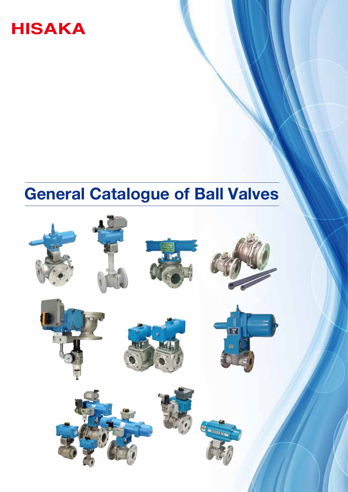

# **General Catalogue of Ball Valves**

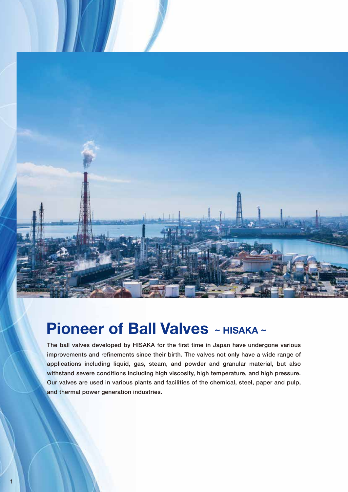

## **Pioneer of Ball Valves** ~ HISAKA ~

1

The ball valves developed by HISAKA for the first time in Japan have undergone various improvements and refinements since their birth. The valves not only have a wide range of applications including liquid, gas, steam, and powder and granular material, but also withstand severe conditions including high viscosity, high temperature, and high pressure. Our valves are used in various plants and facilities of the chemical, steel, paper and pulp, and thermal power generation industries.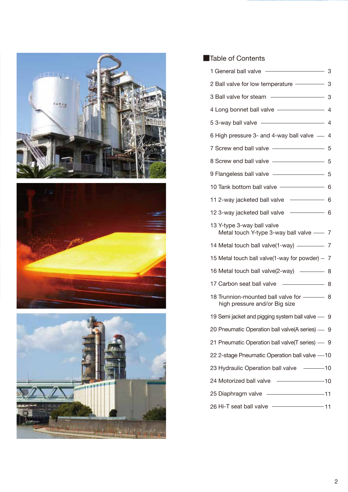





#### ■Table of Contents

| 1 General ball valve                                                       | 3    |
|----------------------------------------------------------------------------|------|
| 2 Ball valve for low temperature -                                         | 3    |
|                                                                            | 3    |
|                                                                            | $-4$ |
| 53-way ball valve - 4                                                      |      |
| 6 High pressure 3- and 4-way ball valve -                                  | 4    |
| 7 Screw end ball valve                                                     | 5    |
| 8 Screw end ball valve                                                     | 5    |
| 9 Flangeless ball valve - Changeless ball valve                            | 5    |
| 10 Tank bottom ball valve -                                                | 6    |
| 11 2-way jacketed ball valve -                                             | 6    |
| 12 3-way jacketed ball valve - 6                                           |      |
| 13 Y-type 3-way ball valve<br>Metal touch Y-type 3-way ball valve $\sim$ 7 |      |
| 14 Metal touch ball valve(1-way) -------                                   | 7    |
| 15 Metal touch ball valve(1-way for powder) $-$                            | 7    |
| 16 Metal touch ball valve(2-way) ------                                    | 8    |
| 17 Carbon seat ball valve                                                  | 8    |
| 18 Trunnion-mounted ball valve for ———— 8<br>high pressure and/or Big size |      |
| 19 Semi jacket and pigging system ball valve -                             | 9    |
| 20 Pneumatic Operation ball valve(A series) - 9                            |      |
| 21 Pneumatic Operation ball valve(T series) - 9                            |      |
| 22 2-stage Pneumatic Operation ball valve -10                              |      |
| 23 Hydraulic Operation ball valve ------10                                 |      |
| 24 Motorized ball valve - 10                                               |      |
| 25 Diaphragm valve - 11                                                    |      |
| 26 Hi-T seat ball valve - 11                                               |      |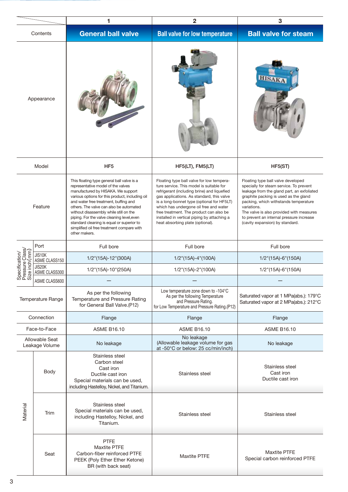|                                                     |                                  | 1                                                                                                                                                                                                                                                                                                                                                                                                                                                                 | 2                                                                                                                                                                                                                                                                                                                                                                                                       | 3                                                                                                                                                                                                                                                                                                                                                       |  |
|-----------------------------------------------------|----------------------------------|-------------------------------------------------------------------------------------------------------------------------------------------------------------------------------------------------------------------------------------------------------------------------------------------------------------------------------------------------------------------------------------------------------------------------------------------------------------------|---------------------------------------------------------------------------------------------------------------------------------------------------------------------------------------------------------------------------------------------------------------------------------------------------------------------------------------------------------------------------------------------------------|---------------------------------------------------------------------------------------------------------------------------------------------------------------------------------------------------------------------------------------------------------------------------------------------------------------------------------------------------------|--|
|                                                     | Contents                         | <b>General ball valve</b>                                                                                                                                                                                                                                                                                                                                                                                                                                         | <b>Ball valve for low temperature</b>                                                                                                                                                                                                                                                                                                                                                                   | <b>Ball valve for steam</b>                                                                                                                                                                                                                                                                                                                             |  |
| Appearance                                          |                                  |                                                                                                                                                                                                                                                                                                                                                                                                                                                                   |                                                                                                                                                                                                                                                                                                                                                                                                         | <b>HISAKA</b>                                                                                                                                                                                                                                                                                                                                           |  |
|                                                     | Model                            | HF <sub>5</sub>                                                                                                                                                                                                                                                                                                                                                                                                                                                   | HF5(LT), FM5(LT)                                                                                                                                                                                                                                                                                                                                                                                        | HF5(ST)                                                                                                                                                                                                                                                                                                                                                 |  |
| Feature                                             |                                  | This floating type general ball valve is a<br>representative model of the valves<br>manufactured by HISAKA. We support<br>various options for this product, including oil<br>and water free treatment, buffing and<br>others. The valve can also be automated<br>without disassembly while still on the<br>piping. For the valve cleaning level, even<br>standard cleaning is equal or superior to<br>simplified oil free treatment compare with<br>other makers. | Floating type ball valve for low tempera-<br>ture service. This model is suitable for<br>refrigerant (including brine) and liquefied<br>gas applications. As standard, this valve<br>is a long-bonnet type (optional for HF5LT)<br>which has undergone oil free and water<br>free treatment. The product can also be<br>installed in vertical piping by attaching a<br>heat absorbing plate (optional). | Floating type ball valve developed<br>specially for steam service. To prevent<br>leakage from the gland part, an exfoliated<br>graphite packing is used as the gland<br>packing, which withstands temperature<br>variations.<br>The valve is also provided with measures<br>to prevent an internal pressure increase<br>(cavity expansion) by standard. |  |
|                                                     | Port                             | Full bore                                                                                                                                                                                                                                                                                                                                                                                                                                                         | Full bore                                                                                                                                                                                                                                                                                                                                                                                               | Full bore                                                                                                                                                                                                                                                                                                                                               |  |
| Specification/<br>Pressure Class/<br>Size inch (mm) | JIS10K<br>ASME CLASS150          | 1/2"(15A)-12"(300A)                                                                                                                                                                                                                                                                                                                                                                                                                                               | $1/2$ "(15A)-4"(100A)                                                                                                                                                                                                                                                                                                                                                                                   | $1/2$ "(15A)-6"(150A)                                                                                                                                                                                                                                                                                                                                   |  |
|                                                     | JIS20K<br>ASME CLASS300          | 1/2"(15A)-10"(250A)                                                                                                                                                                                                                                                                                                                                                                                                                                               | 1/2"(15A)-2"(100A)                                                                                                                                                                                                                                                                                                                                                                                      | 1/2"(15A)-6"(150A)                                                                                                                                                                                                                                                                                                                                      |  |
| ၈ – ၈                                               | ASME CLASS600                    |                                                                                                                                                                                                                                                                                                                                                                                                                                                                   |                                                                                                                                                                                                                                                                                                                                                                                                         |                                                                                                                                                                                                                                                                                                                                                         |  |
| Temperature Range                                   |                                  | As per the following<br>Temperature and Pressure Rating<br>for General Ball Valve.(P12)                                                                                                                                                                                                                                                                                                                                                                           | Low temperature zone down to -104°C<br>As per the following Temperature<br>and Pressure Rating.<br>for Low Temperature and Pressure Rating.(P12)                                                                                                                                                                                                                                                        | Saturated vapor at 1 MPa(abs.): 179°C<br>Saturated vapor at 2 MPa(abs.): 212°C                                                                                                                                                                                                                                                                          |  |
|                                                     | Connection                       | Flange                                                                                                                                                                                                                                                                                                                                                                                                                                                            | Flange                                                                                                                                                                                                                                                                                                                                                                                                  | Flange                                                                                                                                                                                                                                                                                                                                                  |  |
|                                                     | Face-to-Face                     | <b>ASME B16.10</b>                                                                                                                                                                                                                                                                                                                                                                                                                                                | <b>ASME B16.10</b>                                                                                                                                                                                                                                                                                                                                                                                      | <b>ASME B16.10</b>                                                                                                                                                                                                                                                                                                                                      |  |
|                                                     | Allowable Seat<br>Leakage Volume | No leakage                                                                                                                                                                                                                                                                                                                                                                                                                                                        | No leakage<br>(Allowable leakage volume for gas<br>at -50°C or below: 25 cc/min/inch)                                                                                                                                                                                                                                                                                                                   | No leakage                                                                                                                                                                                                                                                                                                                                              |  |
|                                                     | Body                             | Stainless steel<br>Carbon steel<br>Cast iron<br>Ductile cast iron<br>Special materials can be used,<br>including Hastelloy, Nickel, and Titanium.                                                                                                                                                                                                                                                                                                                 | Stainless steel                                                                                                                                                                                                                                                                                                                                                                                         | Stainless steel<br>Cast iron<br>Ductile cast iron                                                                                                                                                                                                                                                                                                       |  |
| Material                                            | Trim                             | Stainless steel<br>Special materials can be used,<br>including Hastelloy, Nickel, and<br>Titanium.                                                                                                                                                                                                                                                                                                                                                                | Stainless steel                                                                                                                                                                                                                                                                                                                                                                                         | Stainless steel                                                                                                                                                                                                                                                                                                                                         |  |
|                                                     | Seat                             | <b>PTFE</b><br><b>Maxtite PTFE</b><br>Carbon-fiber reinforced PTFE<br>PEEK (Poly Ether Ether Ketone)<br>BR (with back seat)                                                                                                                                                                                                                                                                                                                                       | <b>Maxtite PTFE</b>                                                                                                                                                                                                                                                                                                                                                                                     | <b>Maxtite PTFE</b><br>Special carbon reinforced PTFE                                                                                                                                                                                                                                                                                                   |  |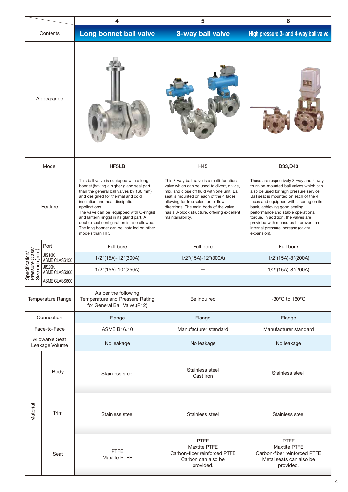|                                                     |                                  | 4                                                                                                                                                                                                                                                                                                                                                                                                                             | 5                                                                                                                                                                                                                                                                                                                                       | 6                                                                                                                                                                                                                                                                                                                                                                                                                         |  |
|-----------------------------------------------------|----------------------------------|-------------------------------------------------------------------------------------------------------------------------------------------------------------------------------------------------------------------------------------------------------------------------------------------------------------------------------------------------------------------------------------------------------------------------------|-----------------------------------------------------------------------------------------------------------------------------------------------------------------------------------------------------------------------------------------------------------------------------------------------------------------------------------------|---------------------------------------------------------------------------------------------------------------------------------------------------------------------------------------------------------------------------------------------------------------------------------------------------------------------------------------------------------------------------------------------------------------------------|--|
|                                                     | Contents                         | Long bonnet ball valve                                                                                                                                                                                                                                                                                                                                                                                                        | 3-way ball valve                                                                                                                                                                                                                                                                                                                        | High pressure 3- and 4-way ball valve                                                                                                                                                                                                                                                                                                                                                                                     |  |
| Appearance                                          |                                  |                                                                                                                                                                                                                                                                                                                                                                                                                               |                                                                                                                                                                                                                                                                                                                                         |                                                                                                                                                                                                                                                                                                                                                                                                                           |  |
|                                                     | Model                            | HF5LB                                                                                                                                                                                                                                                                                                                                                                                                                         | H45                                                                                                                                                                                                                                                                                                                                     | D33, D43                                                                                                                                                                                                                                                                                                                                                                                                                  |  |
| Feature                                             |                                  | This ball valve is equipped with a long<br>bonnet (having a higher gland seal part<br>than the general ball valves by 160 mm)<br>and designed for thermal and cold<br>insulation and heat dissipation<br>applications.<br>The valve can be equipped with O-ring(s)<br>and lantern ring(s) in its gland part. A<br>double seal configuration is also allowed.<br>The long bonnet can be installed on other<br>models than HF5. | This 3-way ball valve is a multi-functional<br>valve which can be used to divert, divide,<br>mix, and close off fluid with one unit. Ball<br>seat is mounted on each of the 4 faces<br>allowing for free selection of flow<br>directions. The main body of the valve<br>has a 3-block structure, offering excellent<br>maintainability. | These are respectively 3-way and 4-way<br>trunnion-mounted ball valves which can<br>also be used for high pressure service.<br>Ball seat is mounted on each of the 4<br>faces and equipped with a spring on its<br>back, achieving good sealing<br>performance and stable operational<br>torque. In addition, the valves are<br>provided with measures to prevent an<br>internal pressure increase (cavity<br>expansion). |  |
|                                                     | Port                             | Full bore                                                                                                                                                                                                                                                                                                                                                                                                                     | Full bore                                                                                                                                                                                                                                                                                                                               | Full bore                                                                                                                                                                                                                                                                                                                                                                                                                 |  |
| Specification/<br>Pressure Class/<br>Size inch (mm) | JIS10K<br>ASME CLASS150          | 1/2"(15A)-12"(300A)                                                                                                                                                                                                                                                                                                                                                                                                           | 1/2"(15A)-12"(300A)                                                                                                                                                                                                                                                                                                                     | $1/2$ "(15A)-8"(200A)                                                                                                                                                                                                                                                                                                                                                                                                     |  |
|                                                     | JIS20K<br>ASME CLASS300          | 1/2"(15A)-10"(250A)                                                                                                                                                                                                                                                                                                                                                                                                           |                                                                                                                                                                                                                                                                                                                                         | 1/2"(15A)-8"(200A)                                                                                                                                                                                                                                                                                                                                                                                                        |  |
|                                                     | ASME CLASS600                    |                                                                                                                                                                                                                                                                                                                                                                                                                               |                                                                                                                                                                                                                                                                                                                                         |                                                                                                                                                                                                                                                                                                                                                                                                                           |  |
| Temperature Range                                   |                                  | As per the following<br>Temperature and Pressure Rating<br>for General Ball Valve.(P12)                                                                                                                                                                                                                                                                                                                                       | Be inquired                                                                                                                                                                                                                                                                                                                             | -30 $^{\circ}$ C to 160 $^{\circ}$ C                                                                                                                                                                                                                                                                                                                                                                                      |  |
|                                                     | Connection                       | Flange                                                                                                                                                                                                                                                                                                                                                                                                                        | Flange                                                                                                                                                                                                                                                                                                                                  | Flange                                                                                                                                                                                                                                                                                                                                                                                                                    |  |
|                                                     | Face-to-Face                     | <b>ASME B16.10</b>                                                                                                                                                                                                                                                                                                                                                                                                            | Manufacturer standard                                                                                                                                                                                                                                                                                                                   | Manufacturer standard                                                                                                                                                                                                                                                                                                                                                                                                     |  |
|                                                     | Allowable Seat<br>Leakage Volume | No leakage                                                                                                                                                                                                                                                                                                                                                                                                                    | No leakage                                                                                                                                                                                                                                                                                                                              | No leakage                                                                                                                                                                                                                                                                                                                                                                                                                |  |
|                                                     | Body                             | Stainless steel                                                                                                                                                                                                                                                                                                                                                                                                               | Stainless steel<br>Cast iron                                                                                                                                                                                                                                                                                                            | Stainless steel                                                                                                                                                                                                                                                                                                                                                                                                           |  |
| Material                                            | Trim<br>Stainless steel          |                                                                                                                                                                                                                                                                                                                                                                                                                               | Stainless steel                                                                                                                                                                                                                                                                                                                         | Stainless steel                                                                                                                                                                                                                                                                                                                                                                                                           |  |
|                                                     | Seat                             | <b>PTFE</b><br>Maxtite PTFE                                                                                                                                                                                                                                                                                                                                                                                                   | <b>PTFE</b><br><b>Maxtite PTFE</b><br>Carbon-fiber reinforced PTFE<br>Carbon can also be<br>provided.                                                                                                                                                                                                                                   | <b>PTFE</b><br><b>Maxtite PTFE</b><br>Carbon-fiber reinforced PTFE<br>Metal seats can also be<br>provided.                                                                                                                                                                                                                                                                                                                |  |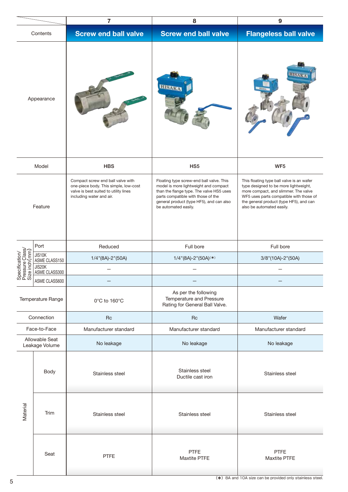|                                                    |                                  | $\overline{7}$<br>8                                                                                                                             |                                                                                                                                                                                                                                         | 9                                                                                                                                                                                                                                             |  |
|----------------------------------------------------|----------------------------------|-------------------------------------------------------------------------------------------------------------------------------------------------|-----------------------------------------------------------------------------------------------------------------------------------------------------------------------------------------------------------------------------------------|-----------------------------------------------------------------------------------------------------------------------------------------------------------------------------------------------------------------------------------------------|--|
| Contents                                           |                                  | <b>Screw end ball valve</b>                                                                                                                     | <b>Screw end ball valve</b>                                                                                                                                                                                                             | <b>Flangeless ball valve</b>                                                                                                                                                                                                                  |  |
| Appearance                                         |                                  |                                                                                                                                                 | <b>HISAKA</b>                                                                                                                                                                                                                           |                                                                                                                                                                                                                                               |  |
|                                                    | Model                            | <b>HBS</b>                                                                                                                                      | HS <sub>5</sub>                                                                                                                                                                                                                         | WF <sub>5</sub>                                                                                                                                                                                                                               |  |
| Feature                                            |                                  | Compact screw end ball valve with<br>one-piece body. This simple, low-cost<br>valve is best suited to utility lines<br>including water and air. | Floating type screw-end ball valve. This<br>model is more lightweight and compact<br>than the flange type. The valve HS5 uses<br>parts compatible with those of the<br>general product (type HF5), and can also<br>be automated easily. | This floating type ball valve is an wafer<br>type designed to be more lightweight,<br>more compact, and slimmer. The valve<br>WF5 uses parts compatible with those of<br>the general product (type HF5), and can<br>also be automated easily. |  |
|                                                    | Port                             | Reduced                                                                                                                                         | Full bore                                                                                                                                                                                                                               | Full bore                                                                                                                                                                                                                                     |  |
|                                                    | JIS10K<br>ASME CLASS150          | $1/4$ "(8A)-2"(50A)                                                                                                                             | $1/4$ "(8A)-2"(50A) <sup>(*)</sup>                                                                                                                                                                                                      | $3/8$ "(10A)-2"(50A)                                                                                                                                                                                                                          |  |
| Specification/<br>Pressure Class/<br>Size inch(mm) | JIS20K<br>ASME CLASS300          |                                                                                                                                                 |                                                                                                                                                                                                                                         |                                                                                                                                                                                                                                               |  |
|                                                    | ASME CLASS600                    |                                                                                                                                                 |                                                                                                                                                                                                                                         |                                                                                                                                                                                                                                               |  |
| Temperature Range                                  |                                  | 0°C to 160°C                                                                                                                                    | As per the following<br>Temperature and Pressure<br>Rating for General Ball Valve.                                                                                                                                                      |                                                                                                                                                                                                                                               |  |
|                                                    | Connection                       | <b>Rc</b>                                                                                                                                       | <b>Rc</b>                                                                                                                                                                                                                               | Wafer                                                                                                                                                                                                                                         |  |
|                                                    | Face-to-Face                     | Manufacturer standard                                                                                                                           | Manufacturer standard                                                                                                                                                                                                                   | Manufacturer standard                                                                                                                                                                                                                         |  |
|                                                    | Allowable Seat<br>Leakage Volume | No leakage                                                                                                                                      | No leakage                                                                                                                                                                                                                              | No leakage                                                                                                                                                                                                                                    |  |
|                                                    | Body                             | Stainless steel                                                                                                                                 | Stainless steel<br>Ductile cast iron                                                                                                                                                                                                    | Stainless steel                                                                                                                                                                                                                               |  |
| Material                                           | Trim                             | Stainless steel                                                                                                                                 | Stainless steel                                                                                                                                                                                                                         | Stainless steel                                                                                                                                                                                                                               |  |
|                                                    | Seat                             | <b>PTFE</b>                                                                                                                                     | <b>PTFE</b><br>Maxtite PTFE                                                                                                                                                                                                             | <b>PTFE</b><br>Maxtite PTFE                                                                                                                                                                                                                   |  |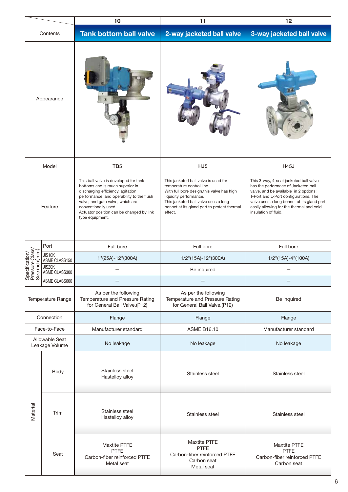|                                                     |                                  | 10<br>11                                                                                                                                                                                                                                                                              |                                                                                                                                                                                                                                             | 12                                                                                                                                                                                                                                                                                 |  |
|-----------------------------------------------------|----------------------------------|---------------------------------------------------------------------------------------------------------------------------------------------------------------------------------------------------------------------------------------------------------------------------------------|---------------------------------------------------------------------------------------------------------------------------------------------------------------------------------------------------------------------------------------------|------------------------------------------------------------------------------------------------------------------------------------------------------------------------------------------------------------------------------------------------------------------------------------|--|
| Contents                                            |                                  | <b>Tank bottom ball valve</b>                                                                                                                                                                                                                                                         | 2-way jacketed ball valve                                                                                                                                                                                                                   | 3-way jacketed ball valve                                                                                                                                                                                                                                                          |  |
| Appearance                                          |                                  |                                                                                                                                                                                                                                                                                       |                                                                                                                                                                                                                                             |                                                                                                                                                                                                                                                                                    |  |
|                                                     | Model                            | TB <sub>5</sub>                                                                                                                                                                                                                                                                       | HJ <sub>5</sub>                                                                                                                                                                                                                             | <b>H45J</b>                                                                                                                                                                                                                                                                        |  |
| Feature                                             |                                  | This ball valve is developed for tank<br>bottoms and is much superior in<br>discharging efficiency, agitation<br>performance, and operability to the flush<br>valve, and gate valve, which are<br>conventionally used.<br>Actuator position can be changed by link<br>type equipment. | This jacketed ball valve is used for<br>temperature control line.<br>With full bore design, this valve has high<br>liquidity performance.<br>This jacketed ball valve uses a long<br>bonnet at its gland part to protect thermal<br>effect. | This 3-way, 4-seat jacketed ball valve<br>has the performace of Jacketed ball<br>valve, and be available in 2 options:<br>T-Port and L-Port configurations. The<br>valve uses a long bonnet at its gland part,<br>easily allowing for the thermal and cold<br>insulation of fluid. |  |
|                                                     | Port                             | Full bore                                                                                                                                                                                                                                                                             | Full bore                                                                                                                                                                                                                                   | Full bore                                                                                                                                                                                                                                                                          |  |
| Specification/<br>Pressure Class/<br>Size inch (mm) | JIS10K<br>ASME CLASS150          | 1"(25A)-12"(300A)                                                                                                                                                                                                                                                                     | 1/2"(15A)-12"(300A)                                                                                                                                                                                                                         | 1/2"(15A)-4"(100A)                                                                                                                                                                                                                                                                 |  |
|                                                     | JIS20K<br>ASME CLASS300          |                                                                                                                                                                                                                                                                                       | Be inquired                                                                                                                                                                                                                                 |                                                                                                                                                                                                                                                                                    |  |
|                                                     | ASME CLASS600                    |                                                                                                                                                                                                                                                                                       |                                                                                                                                                                                                                                             |                                                                                                                                                                                                                                                                                    |  |
| Temperature Range                                   |                                  | As per the following<br>Temperature and Pressure Rating<br>for General Ball Valve.(P12)                                                                                                                                                                                               | As per the following<br>Temperature and Pressure Rating<br>for General Ball Valve.(P12)                                                                                                                                                     | Be inquired                                                                                                                                                                                                                                                                        |  |
|                                                     | Connection                       | Flange                                                                                                                                                                                                                                                                                | Flange                                                                                                                                                                                                                                      | Flange                                                                                                                                                                                                                                                                             |  |
|                                                     | Face-to-Face                     | Manufacturer standard                                                                                                                                                                                                                                                                 | <b>ASME B16.10</b>                                                                                                                                                                                                                          | Manufacturer standard                                                                                                                                                                                                                                                              |  |
|                                                     | Allowable Seat<br>Leakage Volume | No leakage                                                                                                                                                                                                                                                                            | No leakage                                                                                                                                                                                                                                  | No leakage                                                                                                                                                                                                                                                                         |  |
| Material                                            | Body                             | Stainless steel<br>Hastelloy alloy                                                                                                                                                                                                                                                    | Stainless steel                                                                                                                                                                                                                             | Stainless steel                                                                                                                                                                                                                                                                    |  |
|                                                     | Trim                             | Stainless steel<br>Hastelloy alloy                                                                                                                                                                                                                                                    | Stainless steel                                                                                                                                                                                                                             | Stainless steel                                                                                                                                                                                                                                                                    |  |
|                                                     | Seat                             | Maxtite PTFE<br><b>PTFE</b><br>Carbon-fiber reinforced PTFE<br>Metal seat                                                                                                                                                                                                             | <b>Maxtite PTFE</b><br><b>PTFE</b><br>Carbon-fiber reinforced PTFE<br>Carbon seat<br>Metal seat                                                                                                                                             | <b>Maxtite PTFE</b><br>PTFE<br>Carbon-fiber reinforced PTFE<br>Carbon seat                                                                                                                                                                                                         |  |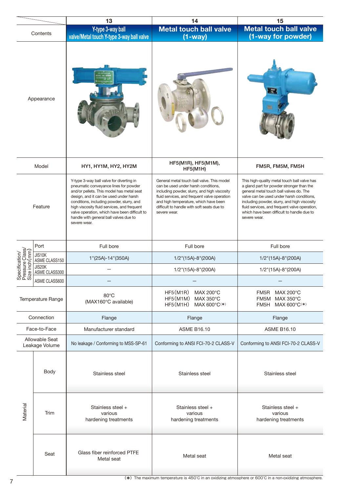|                                                     |                                  | 13                                                                                                                                                                                                                                                                                                                                                                              | 14                                                                                                                                                                                                                                                                                       | 15                                                                                                                                                                                                                                                                                                                                               |  |
|-----------------------------------------------------|----------------------------------|---------------------------------------------------------------------------------------------------------------------------------------------------------------------------------------------------------------------------------------------------------------------------------------------------------------------------------------------------------------------------------|------------------------------------------------------------------------------------------------------------------------------------------------------------------------------------------------------------------------------------------------------------------------------------------|--------------------------------------------------------------------------------------------------------------------------------------------------------------------------------------------------------------------------------------------------------------------------------------------------------------------------------------------------|--|
|                                                     |                                  | Y-type 3-way ball                                                                                                                                                                                                                                                                                                                                                               | <b>Metal touch ball valve</b>                                                                                                                                                                                                                                                            | <b>Metal touch ball valve</b>                                                                                                                                                                                                                                                                                                                    |  |
|                                                     | Contents                         | valve/Metal touch Y-type 3-way ball valve                                                                                                                                                                                                                                                                                                                                       | $(1-way)$                                                                                                                                                                                                                                                                                | (1-way for powder)                                                                                                                                                                                                                                                                                                                               |  |
| Appearance                                          |                                  |                                                                                                                                                                                                                                                                                                                                                                                 |                                                                                                                                                                                                                                                                                          | ь                                                                                                                                                                                                                                                                                                                                                |  |
|                                                     | Model                            | HY1, HY1M, HY2, HY2M                                                                                                                                                                                                                                                                                                                                                            | HF5(M1R), HF5(M1M),<br>HF5(M1H)                                                                                                                                                                                                                                                          | FM5R, FM5M, FM5H                                                                                                                                                                                                                                                                                                                                 |  |
| Feature                                             |                                  | Y-type 3-way ball valve for diverting in<br>pneumatic conveyance lines for powder<br>and/or pellets. This model has metal seat<br>design, and it can be used under harsh<br>conditions, including powder, slurry, and<br>high viscosity fluid services, and frequent<br>valve operation, which have been difficult to<br>handle with general ball valves due to<br>severe wear. | General metal touch ball valve. This model<br>can be used under harsh conditions,<br>including powder, slurry, and high viscosity<br>fluid services, and frequent valve operation<br>and high temperature, which have been<br>difficult to handle with soft seats due to<br>severe wear. | This high-quality metal touch ball valve has<br>a gland part for powder stronger than the<br>general metal touch ball valves do. The<br>valve can be used under harsh conditions,<br>including powder, slurry, and high viscosity<br>fluid services, and frequent valve operation,<br>which have been difficult to handle due to<br>severe wear. |  |
|                                                     | Port                             | Full bore                                                                                                                                                                                                                                                                                                                                                                       | Full bore                                                                                                                                                                                                                                                                                | Full bore                                                                                                                                                                                                                                                                                                                                        |  |
| Specification/<br>Pressure Class/<br>Size inch (mm) | JIS10K<br>ASME CLASS150          | 1"(25A)-14"(350A)                                                                                                                                                                                                                                                                                                                                                               | $1/2$ "(15A)-8"(200A)                                                                                                                                                                                                                                                                    | 1/2"(15A)-8"(200A)                                                                                                                                                                                                                                                                                                                               |  |
|                                                     | JIS20K<br>ASME CLASS300          |                                                                                                                                                                                                                                                                                                                                                                                 | 1/2"(15A)-8"(200A)                                                                                                                                                                                                                                                                       | 1/2"(15A)-8"(200A)                                                                                                                                                                                                                                                                                                                               |  |
| <b>SOLS</b>                                         | ASME CLASS600                    |                                                                                                                                                                                                                                                                                                                                                                                 |                                                                                                                                                                                                                                                                                          |                                                                                                                                                                                                                                                                                                                                                  |  |
| Temperature Range                                   |                                  | $80^{\circ}$ C<br>(MAX160°C available)                                                                                                                                                                                                                                                                                                                                          | HF5(M1R)<br>MAX 200°C<br>HF5(M1M) MAX 350°C<br>HF5(M1H) MAX 600°C <sup>(*)</sup>                                                                                                                                                                                                         | FM5R<br>MAX 200°C<br>MAX 350°C<br>FM5M<br>MAX 600°C(*)<br>FM5H                                                                                                                                                                                                                                                                                   |  |
|                                                     | Connection                       | Flange                                                                                                                                                                                                                                                                                                                                                                          | Flange                                                                                                                                                                                                                                                                                   | Flange                                                                                                                                                                                                                                                                                                                                           |  |
|                                                     | Face-to-Face                     | <b>ASME B16.10</b><br>Manufacturer standard                                                                                                                                                                                                                                                                                                                                     |                                                                                                                                                                                                                                                                                          | <b>ASME B16.10</b>                                                                                                                                                                                                                                                                                                                               |  |
|                                                     | Allowable Seat<br>Leakage Volume | No leakage / Conforming to MSS-SP-61                                                                                                                                                                                                                                                                                                                                            | Conforming to ANSI FCI-70-2 CLASS-V                                                                                                                                                                                                                                                      | Conforming to ANSI FCI-70-2 CLASS-V                                                                                                                                                                                                                                                                                                              |  |
| Material                                            | Body                             | Stainless steel                                                                                                                                                                                                                                                                                                                                                                 | Stainless steel                                                                                                                                                                                                                                                                          | Stainless steel                                                                                                                                                                                                                                                                                                                                  |  |
|                                                     | Trim                             | Stainless steel +<br>various<br>hardening treatments                                                                                                                                                                                                                                                                                                                            | Stainless steel +<br>various<br>hardening treatments                                                                                                                                                                                                                                     | Stainless steel +<br>various<br>hardening treatments                                                                                                                                                                                                                                                                                             |  |
|                                                     | Seat                             | Glass fiber reinforced PTFE<br>Metal seat                                                                                                                                                                                                                                                                                                                                       | Metal seat                                                                                                                                                                                                                                                                               | Metal seat                                                                                                                                                                                                                                                                                                                                       |  |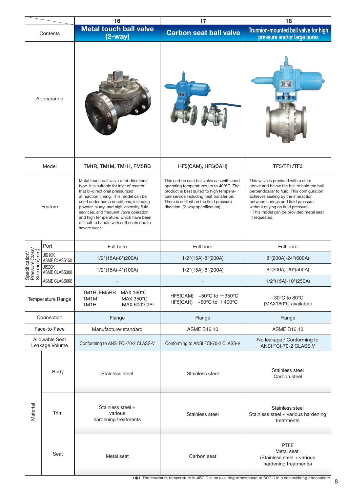|                                                     |                                  | 16                                                                                                                                                                                                                                                                                                                                                                                                       | 17                                                                                                                                                                                                                                                          | 18                                                                                                                                                                                                                                                                                                           |
|-----------------------------------------------------|----------------------------------|----------------------------------------------------------------------------------------------------------------------------------------------------------------------------------------------------------------------------------------------------------------------------------------------------------------------------------------------------------------------------------------------------------|-------------------------------------------------------------------------------------------------------------------------------------------------------------------------------------------------------------------------------------------------------------|--------------------------------------------------------------------------------------------------------------------------------------------------------------------------------------------------------------------------------------------------------------------------------------------------------------|
|                                                     | Contents                         | <b>Metal touch ball valve</b><br>$(2-way)$                                                                                                                                                                                                                                                                                                                                                               | <b>Carbon seat ball valve</b>                                                                                                                                                                                                                               | Trunnion-mounted ball valve for high<br>pressure and/or large bores                                                                                                                                                                                                                                          |
| Appearance                                          |                                  |                                                                                                                                                                                                                                                                                                                                                                                                          |                                                                                                                                                                                                                                                             |                                                                                                                                                                                                                                                                                                              |
|                                                     | Model                            | TM1R, TM1M, TM1H, FM5RB                                                                                                                                                                                                                                                                                                                                                                                  | HF5(CAM), HF5(CAH)                                                                                                                                                                                                                                          | TF5/TF1/TF3                                                                                                                                                                                                                                                                                                  |
| Feature                                             |                                  | Metal touch ball valve of bi-directional<br>type. It is suitable for inlet of reactor<br>that bi-directional pressurized<br>at reaction timing. This model can be<br>used under harsh conditions, including<br>powder, slurry, and high viscosity fluid<br>services, and frequent valve operation<br>and high temperature, which have been<br>difficult to handle with soft seats due to<br>severe wear. | This carbon seat ball valve can withstand<br>operating temperatures up to 400°C. The<br>product is best suited to high tempera-<br>ture service including heat transfer oil.<br>There is no limit on the fluid pressure<br>direction. (2-way specification) | This valve is provided with a stem<br>above and below the ball to hold the ball<br>perpendicular to fluid. This configuration<br>achieves sealing by the interaction<br>between springs and fluid pressure<br>without relying on fluid pressure.<br>· This model can be provided metal seat<br>if requested, |
|                                                     | Port                             | Full bore                                                                                                                                                                                                                                                                                                                                                                                                | Full bore                                                                                                                                                                                                                                                   | Full bore                                                                                                                                                                                                                                                                                                    |
|                                                     | JIS10K<br>ASME CLASS150          | 1/2"(15A)-8"(200A)                                                                                                                                                                                                                                                                                                                                                                                       | 1/2"(15A)-8"(200A)                                                                                                                                                                                                                                          | 8"(200A)-24"(600A)                                                                                                                                                                                                                                                                                           |
| Specification/<br>Pressure Class/<br>Size inch (mm) | JIS20K<br>ASME CLASS300          | 1/2"(15A)-4"(100A)                                                                                                                                                                                                                                                                                                                                                                                       | 1/2"(15A)-8"(200A)                                                                                                                                                                                                                                          | 8"(200A)-20"(500A)                                                                                                                                                                                                                                                                                           |
| ဟ ၊ က                                               | ASME CLASS600                    |                                                                                                                                                                                                                                                                                                                                                                                                          |                                                                                                                                                                                                                                                             | 1/2"(15A)-10"(250A)                                                                                                                                                                                                                                                                                          |
| Temperature Range                                   |                                  | TM1R, FM5RB<br>MAX 160°C<br>MAX 350°C<br>TM <sub>1</sub> M<br>TM <sub>1</sub> H<br>MAX 600°C(*)                                                                                                                                                                                                                                                                                                          | $-50^{\circ}$ C to $+350^{\circ}$ C<br>HF5(CAM)<br>HF5(CAH) $-50^{\circ}$ C to $+400^{\circ}$ C                                                                                                                                                             | $-30^{\circ}$ C to 80 $^{\circ}$ C<br>(MAX160°C available)                                                                                                                                                                                                                                                   |
|                                                     | Connection                       | Flange                                                                                                                                                                                                                                                                                                                                                                                                   | Flange                                                                                                                                                                                                                                                      | Flange                                                                                                                                                                                                                                                                                                       |
|                                                     | Face-to-Face                     | Manufacturer standard<br><b>ASME B16.10</b>                                                                                                                                                                                                                                                                                                                                                              |                                                                                                                                                                                                                                                             | <b>ASME B16.10</b>                                                                                                                                                                                                                                                                                           |
|                                                     | Allowable Seat<br>Leakage Volume | Conforming to ANSI FCI-70-2 CLASS-V                                                                                                                                                                                                                                                                                                                                                                      | Conforming to ANSI FCI-70-2 CLASS-V                                                                                                                                                                                                                         | No leakage / Conforming to<br>ANSI FCI-70-2 CLASS V                                                                                                                                                                                                                                                          |
| Material                                            | Body                             | Stainless steel                                                                                                                                                                                                                                                                                                                                                                                          | Stainless steel                                                                                                                                                                                                                                             | Stainless steel<br>Carbon steel                                                                                                                                                                                                                                                                              |
|                                                     | Trim                             | Stainless steel +<br>various<br>hardening treatments                                                                                                                                                                                                                                                                                                                                                     | Stainless steel                                                                                                                                                                                                                                             | Stainless steel<br>Stainless steel + various hardening<br>treatments                                                                                                                                                                                                                                         |
|                                                     | Seat                             | Metal seat                                                                                                                                                                                                                                                                                                                                                                                               | Carbon seat                                                                                                                                                                                                                                                 | <b>PTFE</b><br>Metal seat<br>(Stainless steel + various<br>hardening treatments)                                                                                                                                                                                                                             |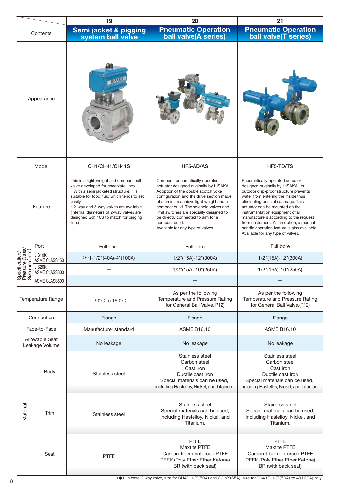|                                                     |                                  | 19                                                                                                                                                                                                                                                                                                                          | 20                                                                                                                                                                                                                                                                                                                                                                                        | 21                                                                                                                                                                                                                                                                                                                                                                                                                                       |
|-----------------------------------------------------|----------------------------------|-----------------------------------------------------------------------------------------------------------------------------------------------------------------------------------------------------------------------------------------------------------------------------------------------------------------------------|-------------------------------------------------------------------------------------------------------------------------------------------------------------------------------------------------------------------------------------------------------------------------------------------------------------------------------------------------------------------------------------------|------------------------------------------------------------------------------------------------------------------------------------------------------------------------------------------------------------------------------------------------------------------------------------------------------------------------------------------------------------------------------------------------------------------------------------------|
| Contents                                            |                                  | Semi jacket & pigging<br>system ball valve                                                                                                                                                                                                                                                                                  | <b>Pneumatic Operation</b><br>ball valve(A series)                                                                                                                                                                                                                                                                                                                                        | <b>Pneumatic Operation</b><br>ball valve(T series)                                                                                                                                                                                                                                                                                                                                                                                       |
| Appearance                                          |                                  |                                                                                                                                                                                                                                                                                                                             |                                                                                                                                                                                                                                                                                                                                                                                           |                                                                                                                                                                                                                                                                                                                                                                                                                                          |
|                                                     | Model                            | CH1/CH41/CH41S                                                                                                                                                                                                                                                                                                              | HF5-AD/AS                                                                                                                                                                                                                                                                                                                                                                                 | HF5-TD/TS                                                                                                                                                                                                                                                                                                                                                                                                                                |
| Feature                                             |                                  | This is a light-weight and compact ball<br>valve developed for chocolate lines<br>· With a semi jacketed structure, it is<br>suitable for food fluid which tends to set<br>easily.<br>. 2-way and 3-way valves are available.<br>(Internal diameters of 2-way valves are<br>designed Sch 10S to match for pigging<br>line.) | Compact, pneumatically operated<br>actuator designed originally by HISAKA.<br>Adoption of the double scotch yoke<br>configuration and the drive section made<br>of aluminum achieve light weight and a<br>compact build. The solenoid valves and<br>limit switches are specially designed to<br>be directly connected to aim for a<br>compact build.<br>Available for any type of valves. | Pneumatically operated actuator<br>designed originally by HISAKA. Its<br>outdoor drip-proof structure prevents<br>water from entering the inside thus<br>eliminating possible damage. This<br>actuator can be mounted on the<br>instrumentation equipment of all<br>manufacturers according to the request<br>from customers. As an option, a manual<br>handle operation feature is also available.<br>Available for any type of valves. |
|                                                     | Port                             | Full bore                                                                                                                                                                                                                                                                                                                   | Full bore                                                                                                                                                                                                                                                                                                                                                                                 | Full bore                                                                                                                                                                                                                                                                                                                                                                                                                                |
| Specification/<br>Pressure Class/<br>Size inch (mm) | JIS10K<br>ASME CLASS150          | $(*1-1/2"(40A)-4"(100A)$                                                                                                                                                                                                                                                                                                    | 1/2"(15A)-12"(300A)                                                                                                                                                                                                                                                                                                                                                                       | 1/2"(15A)-12"(300A)                                                                                                                                                                                                                                                                                                                                                                                                                      |
|                                                     | JIS20K<br>ASME CLASS300          |                                                                                                                                                                                                                                                                                                                             | 1/2"(15A)-10"(250A)                                                                                                                                                                                                                                                                                                                                                                       | 1/2"(15A)-10"(250A)                                                                                                                                                                                                                                                                                                                                                                                                                      |
| <b>WEW</b>                                          | ASME CLASS600                    |                                                                                                                                                                                                                                                                                                                             |                                                                                                                                                                                                                                                                                                                                                                                           |                                                                                                                                                                                                                                                                                                                                                                                                                                          |
| Temperature Range                                   |                                  | $-30^{\circ}$ C to 160 $^{\circ}$ C                                                                                                                                                                                                                                                                                         | As per the following<br>Temperature and Pressure Rating<br>for General Ball Valve.(P12)                                                                                                                                                                                                                                                                                                   | As per the following<br>Temperature and Pressure Rating<br>for General Ball Valve.(P12)                                                                                                                                                                                                                                                                                                                                                  |
|                                                     | Connection                       | Flange                                                                                                                                                                                                                                                                                                                      | Flange                                                                                                                                                                                                                                                                                                                                                                                    | Flange                                                                                                                                                                                                                                                                                                                                                                                                                                   |
|                                                     | Face-to-Face                     | Manufacturer standard                                                                                                                                                                                                                                                                                                       | <b>ASME B16.10</b>                                                                                                                                                                                                                                                                                                                                                                        | <b>ASME B16.10</b>                                                                                                                                                                                                                                                                                                                                                                                                                       |
|                                                     | Allowable Seat<br>Leakage Volume | No leakage                                                                                                                                                                                                                                                                                                                  | No leakage                                                                                                                                                                                                                                                                                                                                                                                | No leakage                                                                                                                                                                                                                                                                                                                                                                                                                               |
|                                                     | Body                             | Stainless steel                                                                                                                                                                                                                                                                                                             | Stainless steel<br>Carbon steel<br>Cast iron<br>Ductile cast iron<br>Special materials can be used,<br>including Hastelloy, Nickel, and Titanium.                                                                                                                                                                                                                                         | Stainless steel<br>Carbon steel<br>Cast iron<br>Ductile cast iron<br>Special materials can be used,<br>including Hastelloy, Nickel, and Titanium.                                                                                                                                                                                                                                                                                        |
| Material                                            | Trim                             | Stainless steel                                                                                                                                                                                                                                                                                                             | Stainless steel<br>Special materials can be used,<br>including Hastelloy, Nickel, and<br>Titanium.                                                                                                                                                                                                                                                                                        | Stainless steel<br>Special materials can be used,<br>including Hastelloy, Nickel, and<br>Titanium.                                                                                                                                                                                                                                                                                                                                       |
|                                                     | Seat                             | <b>PTFE</b>                                                                                                                                                                                                                                                                                                                 | <b>PTFE</b><br><b>Maxtite PTFE</b><br>Carbon-fiber reinforced PTFE<br>PEEK (Poly Ether Ether Ketone)<br>BR (with back seat)                                                                                                                                                                                                                                                               | <b>PTFE</b><br><b>Maxtite PTFE</b><br>Carbon-fiber reinforced PTFE<br>PEEK (Poly Ether Ether Ketone)<br>BR (with back seat)                                                                                                                                                                                                                                                                                                              |

( \*) In case 3 way valve, size for CH41 is 2"(50A) and 2-1/2"(65A), size for CH41S is 2"(50A) to 4"(100A) only.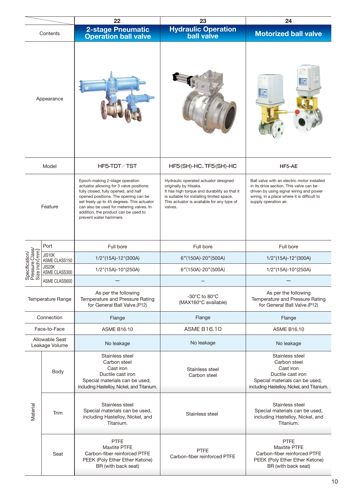|                                                     |                                  | 22                                                                                                                                                                                                                                                                                                                     | 23                                                                                                                                                                                                                  | 24                                                                                                                                                                                                        |  |
|-----------------------------------------------------|----------------------------------|------------------------------------------------------------------------------------------------------------------------------------------------------------------------------------------------------------------------------------------------------------------------------------------------------------------------|---------------------------------------------------------------------------------------------------------------------------------------------------------------------------------------------------------------------|-----------------------------------------------------------------------------------------------------------------------------------------------------------------------------------------------------------|--|
| Contents                                            |                                  | <b>2-stage Pneumatic</b><br><b>Operation ball valve</b>                                                                                                                                                                                                                                                                | Hydraulic Operation<br>ball valve                                                                                                                                                                                   | <b>Motorized ball valve</b>                                                                                                                                                                               |  |
| Appearance                                          |                                  |                                                                                                                                                                                                                                                                                                                        |                                                                                                                                                                                                                     |                                                                                                                                                                                                           |  |
|                                                     | Model                            | HF5-TDT/TST                                                                                                                                                                                                                                                                                                            | HF5(SH)-HC、TF5(SH)-HC                                                                                                                                                                                               | HF5-AE                                                                                                                                                                                                    |  |
| Feature                                             |                                  | Epoch-making 2-stage operation<br>actuator allowing for 3 valve positions:<br>fully closed, fully opened, and half<br>opened positions. The opening can be<br>set freely up to 45 degrees. This actuator<br>can also be used for metering valves. In<br>addition, the product can be used to<br>prevent water hammers. | Hydraulic operated actuator designed<br>originally by Hisaka.<br>It has high torque and durability so that it<br>is suitable for installing limited space.<br>This actuator is available for any type of<br>valves. | Ball valve with an electric motor installed<br>in its drive section. This valve can be<br>driven by using signal wiring and power<br>wiring, in a place where it is difficult to<br>supply operation air. |  |
|                                                     | Port                             | Full bore                                                                                                                                                                                                                                                                                                              | Full bore                                                                                                                                                                                                           | Full bore                                                                                                                                                                                                 |  |
|                                                     | JIS10K<br>ASME CLASS150          | 1/2"(15A)-12"(300A)                                                                                                                                                                                                                                                                                                    | 6"(150A)-20"(500A)                                                                                                                                                                                                  | 1/2"(15A)-12"(300A)                                                                                                                                                                                       |  |
| specification/<br>Pressure Class/<br>size inch (mm) | JIS20K<br>ASME CLASS300          | 1/2"(15A)-10"(250A)                                                                                                                                                                                                                                                                                                    | 6"(150A)-20"(500A)                                                                                                                                                                                                  | 1/2"(15A)-10"(250A)                                                                                                                                                                                       |  |
| 있고 있                                                | ASME CLASS600                    |                                                                                                                                                                                                                                                                                                                        |                                                                                                                                                                                                                     |                                                                                                                                                                                                           |  |
| Temperature Range                                   |                                  | As per the following<br>Temperature and Pressure Rating<br>for General Ball Valve.(P12)                                                                                                                                                                                                                                | $-30^{\circ}$ C to 80 $^{\circ}$ C<br>(MAX160°C available)                                                                                                                                                          | As per the following<br>Temperature and Pressure Rating<br>for General Ball Valve.(P12)                                                                                                                   |  |
|                                                     | Connection                       | Flange                                                                                                                                                                                                                                                                                                                 | Flange                                                                                                                                                                                                              | Flange                                                                                                                                                                                                    |  |
|                                                     | Face-to-Face                     | <b>ASME B16.10</b>                                                                                                                                                                                                                                                                                                     | <b>ASME B16.10</b>                                                                                                                                                                                                  | <b>ASME B16.10</b>                                                                                                                                                                                        |  |
|                                                     | Allowable Seat<br>Leakage Volume | No leakage                                                                                                                                                                                                                                                                                                             | No leakage                                                                                                                                                                                                          | No leakage                                                                                                                                                                                                |  |
|                                                     | Body                             | Stainless steel<br>Carbon steel<br>Cast iron<br>Ductile cast iron<br>Special materials can be used,<br>including Hastelloy, Nickel, and Titanium.                                                                                                                                                                      | Stainless steel<br>Carbon steel                                                                                                                                                                                     | Stainless steel<br>Carbon steel<br>Cast iron<br>Ductile cast iron<br>Special materials can be used,<br>including Hastelloy, Nickel, and Titanium.                                                         |  |
| Material                                            | Trim                             | Stainless steel<br>Special materials can be used,<br>including Hastelloy, Nickel, and<br>Titanium.                                                                                                                                                                                                                     | Stainless steel                                                                                                                                                                                                     | Stainless steel<br>Special materials can be used,<br>including Hastelloy, Nickel, and<br>Titanium.                                                                                                        |  |
|                                                     | Seat                             | <b>PTFE</b><br><b>Maxtite PTFE</b><br>Carbon-fiber reinforced PTFE<br>PEEK (Poly Ether Ether Ketone)<br>BR (with back seat)                                                                                                                                                                                            | <b>PTFE</b><br>Carbon-fiber reinforced PTFE                                                                                                                                                                         | <b>PTFE</b><br><b>Maxtite PTFE</b><br>Carbon-fiber reinforced PTFE<br>PEEK (Poly Ether Ether Ketone)<br>BR (with back seat)                                                                               |  |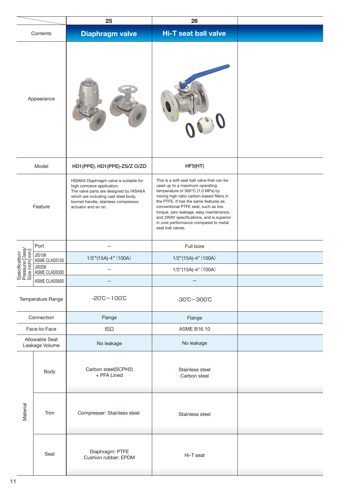|                                                     |                                  | 25                                                                                                                                                                                                                     | 26                                                                                                                                                                                                                                                                                                                                                                                                  |  |
|-----------------------------------------------------|----------------------------------|------------------------------------------------------------------------------------------------------------------------------------------------------------------------------------------------------------------------|-----------------------------------------------------------------------------------------------------------------------------------------------------------------------------------------------------------------------------------------------------------------------------------------------------------------------------------------------------------------------------------------------------|--|
|                                                     | Contents                         | <b>Diaphragm valve</b>                                                                                                                                                                                                 | <b>Hi-T seat ball valve</b>                                                                                                                                                                                                                                                                                                                                                                         |  |
| Appearance                                          |                                  |                                                                                                                                                                                                                        |                                                                                                                                                                                                                                                                                                                                                                                                     |  |
|                                                     | Model                            | HD1(PPE)、HD1(PPE)-ZS/Z O/ZD                                                                                                                                                                                            | HF5(HT)                                                                                                                                                                                                                                                                                                                                                                                             |  |
| Feature                                             |                                  | HISAKA Diaphragm valve is suitable for<br>high corrosive application.<br>The valve parts are designed by HISAKA<br>which are including cast steel body,<br>bonnet handle, stainless compressor,<br>actuator and so on. | This is a soft seat ball valve that can be<br>used up to a maximum operating<br>temperature of 300°C (1.0 MPa) by<br>mixing high ratio carbon-based fillers in<br>the PTFE. It has the same features as<br>conventional PTFE seat, such as low<br>torque, zero leakage, easy maintenance,<br>and 2WAY specifications, and is superior<br>in cost performance compared to metal<br>seat ball valves. |  |
|                                                     | Port                             |                                                                                                                                                                                                                        | Full bore                                                                                                                                                                                                                                                                                                                                                                                           |  |
|                                                     | JIS10K<br>ASME CLASS150          | $1/2''(15A)-4''(100A)$                                                                                                                                                                                                 | $1/2$ "(15A)-4" (100A)                                                                                                                                                                                                                                                                                                                                                                              |  |
| Specification/<br>Pressure Class/<br>Size inch (mm) | JIS20K<br>ASME CLASS300          |                                                                                                                                                                                                                        | 1/2"(15A)-4" (100A)                                                                                                                                                                                                                                                                                                                                                                                 |  |
| ဟ ட ဟ                                               | ASME CLASS600                    |                                                                                                                                                                                                                        |                                                                                                                                                                                                                                                                                                                                                                                                     |  |
|                                                     | Temperature Range                | $-20^{\circ}\text{C} \sim 100^{\circ}\text{C}$                                                                                                                                                                         | $-30^{\circ}$ C $-300^{\circ}$ C                                                                                                                                                                                                                                                                                                                                                                    |  |
|                                                     | Connection                       | Flange                                                                                                                                                                                                                 | Flange                                                                                                                                                                                                                                                                                                                                                                                              |  |
|                                                     | Face-to-Face                     | <b>ISO</b>                                                                                                                                                                                                             | <b>ASME B16.10</b>                                                                                                                                                                                                                                                                                                                                                                                  |  |
|                                                     | Allowable Seat<br>Leakage Volume | No leakage                                                                                                                                                                                                             | No leakage                                                                                                                                                                                                                                                                                                                                                                                          |  |
| Material                                            | Body                             | Carbon steel(SCPH2)<br>+ PFA Lined                                                                                                                                                                                     | Stainless steel<br>Carbon steel                                                                                                                                                                                                                                                                                                                                                                     |  |
|                                                     | Trim                             | Compresser: Stainless steel                                                                                                                                                                                            | Stainless steel                                                                                                                                                                                                                                                                                                                                                                                     |  |
|                                                     | Seat                             | Diaphragm: PTFE<br>Cushion rubber: EPDM                                                                                                                                                                                | Hi-T seat                                                                                                                                                                                                                                                                                                                                                                                           |  |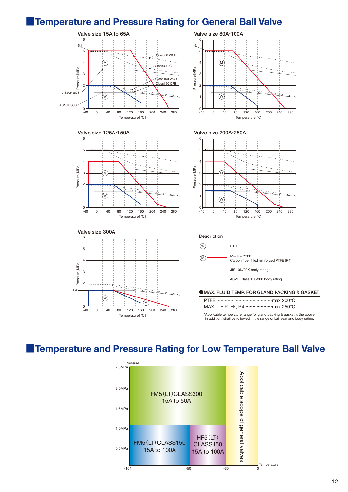### **■Temperature and Pressure Rating for General Ball Valve**



### **■Temperature and Pressure Rating for Low Temperature Ball Valve**

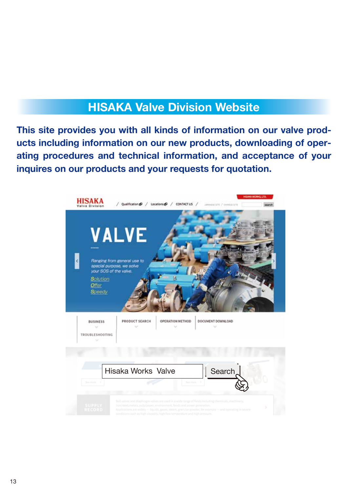### **HISAKA Valve Division Website**

**This site provides you with all kinds of information on our valve products including information on our new products, downloading of operating procedures and technical information, and acceptance of your inquires on our products and your requests for quotation.**

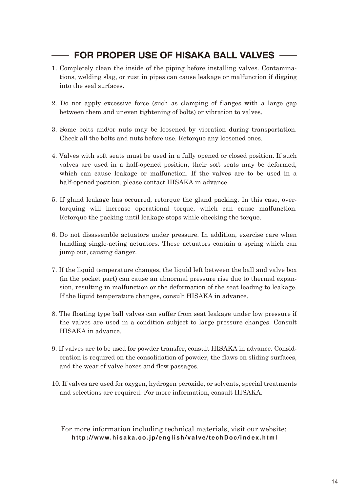### **FOR PROPER USE OF HISAKA BALL VALVES**

- 1. Completely clean the inside of the piping before installing valves. Contaminations, welding slag, or rust in pipes can cause leakage or malfunction if digging into the seal surfaces.
- 2. Do not apply excessive force (such as clamping of flanges with a large gap between them and uneven tightening of bolts) or vibration to valves.
- 3. Some bolts and/or nuts may be loosened by vibration during transportation. Check all the bolts and nuts before use. Retorque any loosened ones.
- 4. Valves with soft seats must be used in a fully opened or closed position. If such valves are used in a half-opened position, their soft seats may be deformed, which can cause leakage or malfunction. If the valves are to be used in a half-opened position, please contact HISAKA in advance.
- 5. If gland leakage has occurred, retorque the gland packing. In this case, overtorquing will increase operational torque, which can cause malfunction. Retorque the packing until leakage stops while checking the torque.
- 6. Do not disassemble actuators under pressure. In addition, exercise care when handling single-acting actuators. These actuators contain a spring which can jump out, causing danger.
- 7. If the liquid temperature changes, the liquid left between the ball and valve box (in the pocket part) can cause an abnormal pressure rise due to thermal expansion, resulting in malfunction or the deformation of the seat leading to leakage. If the liquid temperature changes, consult HISAKA in advance.
- 8. The floating type ball valves can suffer from seat leakage under low pressure if the valves are used in a condition subject to large pressure changes. Consult HISAKA in advance.
- 9. If valves are to be used for powder transfer, consult HISAKA in advance. Consideration is required on the consolidation of powder, the flaws on sliding surfaces, and the wear of valve boxes and flow passages.
- 10. If valves are used for oxygen, hydrogen peroxide, or solvents, special treatments and selections are required. For more information, consult HISAKA.

**http://www.hisaka.co.jp/english/valve/techDoc/index.html** For more information including technical materials, visit our website: